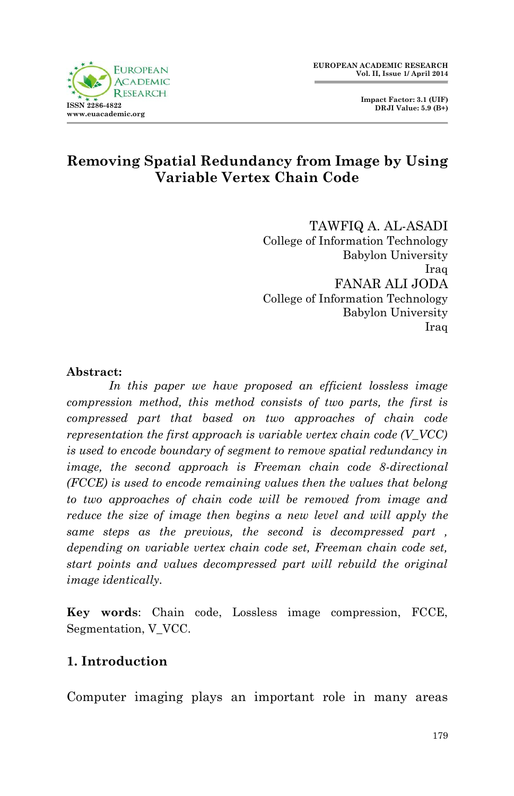**Impact Factor: 3.1 (UIF) DRJI Value: 5.9 (B+)**



## **Removing Spatial Redundancy from Image by Using Variable Vertex Chain Code**

TAWFIQ A. AL-ASADI College of Information Technology Babylon University Iraq FANAR ALI JODA College of Information Technology Babylon University Iraq

#### **Abstract:**

*In this paper we have proposed an efficient lossless image compression method, this method consists of two parts, the first is compressed part that based on two approaches of chain code representation the first approach is variable vertex chain code (V\_VCC) is used to encode boundary of segment to remove spatial redundancy in image, the second approach is Freeman chain code 8-directional (FCCE) is used to encode remaining values then the values that belong to two approaches of chain code will be removed from image and reduce the size of image then begins a new level and will apply the same steps as the previous, the second is decompressed part , depending on variable vertex chain code set, Freeman chain code set, start points and values decompressed part will rebuild the original image identically.*

**Key words**: Chain code, Lossless image compression, FCCE, Segmentation, V\_VCC.

## **1. Introduction**

Computer imaging plays an important role in many areas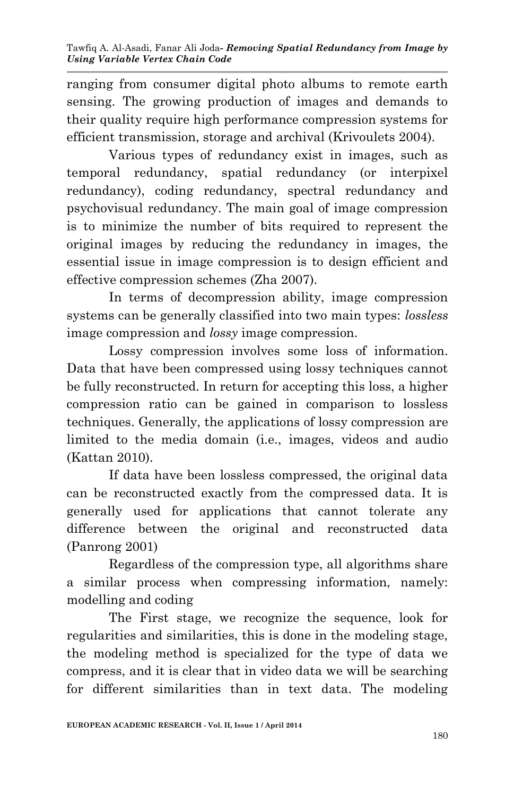ranging from consumer digital photo albums to remote earth sensing. The growing production of images and demands to their quality require high performance compression systems for efficient transmission, storage and archival (Krivoulets 2004).

Various types of redundancy exist in images, such as temporal redundancy, spatial redundancy (or interpixel redundancy), coding redundancy, spectral redundancy and psychovisual redundancy. The main goal of image compression is to minimize the number of bits required to represent the original images by reducing the redundancy in images, the essential issue in image compression is to design efficient and effective compression schemes (Zha 2007).

In terms of decompression ability, image compression systems can be generally classified into two main types: *lossless*  image compression and *lossy* image compression.

Lossy compression involves some loss of information. Data that have been compressed using lossy techniques cannot be fully reconstructed. In return for accepting this loss, a higher compression ratio can be gained in comparison to lossless techniques. Generally, the applications of lossy compression are limited to the media domain (i.e., images, videos and audio (Kattan 2010).

If data have been lossless compressed, the original data can be reconstructed exactly from the compressed data. It is generally used for applications that cannot tolerate any difference between the original and reconstructed data (Panrong 2001)

Regardless of the compression type, all algorithms share a similar process when compressing information, namely: modelling and coding

The First stage, we recognize the sequence, look for regularities and similarities, this is done in the modeling stage, the modeling method is specialized for the type of data we compress, and it is clear that in video data we will be searching for different similarities than in text data. The modeling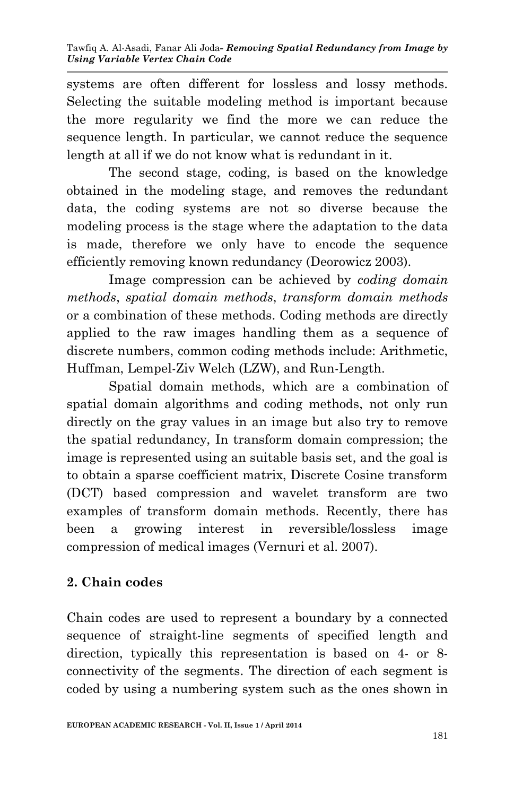systems are often different for lossless and lossy methods. Selecting the suitable modeling method is important because the more regularity we find the more we can reduce the sequence length. In particular, we cannot reduce the sequence length at all if we do not know what is redundant in it.

The second stage, coding, is based on the knowledge obtained in the modeling stage, and removes the redundant data, the coding systems are not so diverse because the modeling process is the stage where the adaptation to the data is made, therefore we only have to encode the sequence efficiently removing known redundancy (Deorowicz 2003).

Image compression can be achieved by *coding domain methods*, *spatial domain methods*, *transform domain methods* or a combination of these methods. Coding methods are directly applied to the raw images handling them as a sequence of discrete numbers, common coding methods include: Arithmetic, Huffman, Lempel-Ziv Welch (LZW), and Run-Length.

Spatial domain methods, which are a combination of spatial domain algorithms and coding methods, not only run directly on the gray values in an image but also try to remove the spatial redundancy, In transform domain compression; the image is represented using an suitable basis set, and the goal is to obtain a sparse coefficient matrix, Discrete Cosine transform (DCT) based compression and wavelet transform are two examples of transform domain methods. Recently, there has been a growing interest in reversible/lossless image compression of medical images (Vernuri et al. 2007).

# **2. Chain codes**

Chain codes are used to represent a boundary by a connected sequence of straight-line segments of specified length and direction, typically this representation is based on 4- or 8 connectivity of the segments. The direction of each segment is coded by using a numbering system such as the ones shown in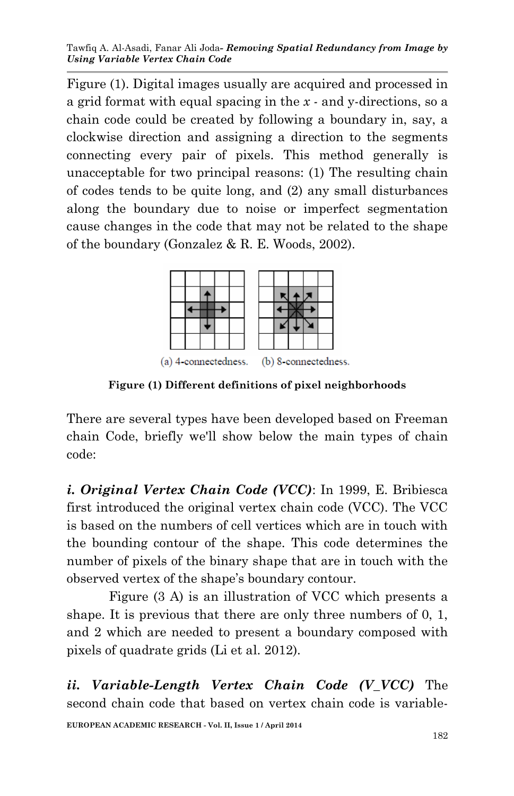Tawfiq A. Al-Asadi, Fanar Ali Joda*- Removing Spatial Redundancy from Image by Using Variable Vertex Chain Code*

Figure (1). Digital images usually are acquired and processed in a grid format with equal spacing in the *x -* and y-directions, so a chain code could be created by following a boundary in, say, a clockwise direction and assigning a direction to the segments connecting every pair of pixels. This method generally is unacceptable for two principal reasons: (1) The resulting chain of codes tends to be quite long, and (2) any small disturbances along the boundary due to noise or imperfect segmentation cause changes in the code that may not be related to the shape of the boundary (Gonzalez & R. E. Woods, 2002).



**Figure (1) Different definitions of pixel neighborhoods**

There are several types have been developed based on Freeman chain Code, briefly we'll show below the main types of chain code:

*i. Original Vertex Chain Code (VCC)*: In 1999, E. Bribiesca first introduced the original vertex chain code (VCC). The VCC is based on the numbers of cell vertices which are in touch with the bounding contour of the shape. This code determines the number of pixels of the binary shape that are in touch with the observed vertex of the shape's boundary contour.

Figure (3 A) is an illustration of VCC which presents a shape. It is previous that there are only three numbers of 0, 1, and 2 which are needed to present a boundary composed with pixels of quadrate grids (Li et al. 2012).

*ii. Variable-Length Vertex Chain Code (V\_VCC)* The second chain code that based on vertex chain code is variable-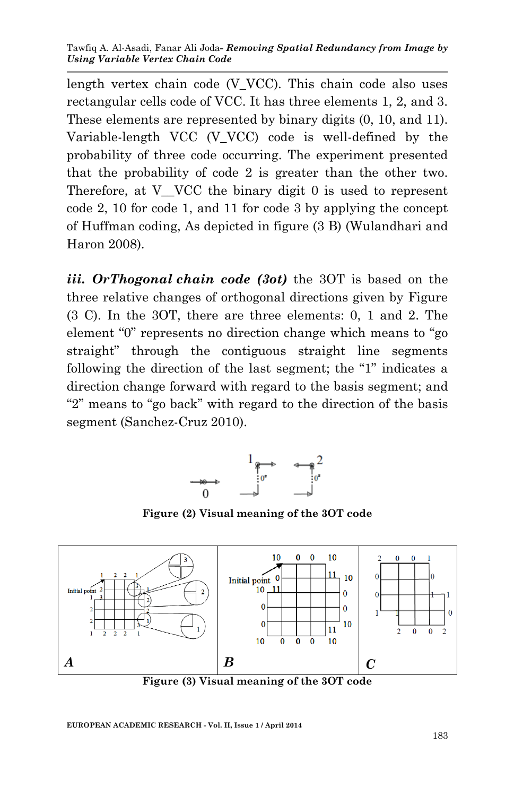length vertex chain code (V\_VCC). This chain code also uses rectangular cells code of VCC. It has three elements 1, 2, and 3. These elements are represented by binary digits (0, 10, and 11). Variable-length VCC (V\_VCC) code is well-defined by the probability of three code occurring. The experiment presented that the probability of code 2 is greater than the other two. Therefore, at V VCC the binary digit 0 is used to represent code 2, 10 for code 1, and 11 for code 3 by applying the concept of Huffman coding, As depicted in figure (3 B) (Wulandhari and Haron 2008).

*iii. OrThogonal chain code (3ot)* the 3OT is based on the three relative changes of orthogonal directions given by Figure (3 C). In the 3OT, there are three elements: 0, 1 and 2. The element "0" represents no direction change which means to "go straight" through the contiguous straight line segments following the direction of the last segment; the "1" indicates a direction change forward with regard to the basis segment; and "2" means to "go back" with regard to the direction of the basis segment (Sanchez-Cruz 2010).



**Figure (2) Visual meaning of the 3OT code**



**Figure (3) Visual meaning of the 3OT code**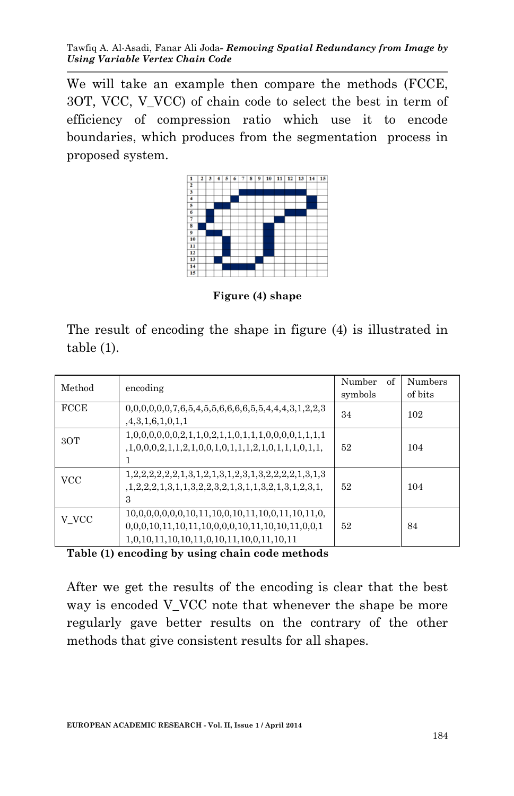We will take an example then compare the methods (FCCE, 3OT, VCC, V\_VCC) of chain code to select the best in term of efficiency of compression ratio which use it to encode boundaries, which produces from the segmentation process in proposed system.



**Figure (4) shape**

The result of encoding the shape in figure (4) is illustrated in table (1).

| Method      | encoding                                                                                       | of<br>Number<br>symbols | Numbers<br>of bits |
|-------------|------------------------------------------------------------------------------------------------|-------------------------|--------------------|
| <b>FCCE</b> | $0,0,0,0,0,0,7,6,5,4,5,5,6,6,6,6,5,5,4,4,4,3,1,2,2,3$<br>,4,3,1,6,1,0,1,1                      | 34                      | 102                |
| 30T         | $1,0,0,0,2,1,1,2,1,0,0,1,0,1,1,1,2,1,0,1,1,1,0,1,1,$                                           | 52                      | 104                |
| <b>VCC</b>  | $1, 2, 2, 2, 1, 3, 1, 1, 3, 2, 2, 3, 2, 1, 3, 1, 1, 3, 2, 1, 3, 1, 2, 3, 1,$<br>3              | 52                      | 104                |
| V VCC       | $10,0,0,0,0,0,0,10,11,10,0,10,11,10,0,11,10,11,0,$<br>1,0,10,11,10,10,11,0,10,11,10,0,11,10,11 | 52                      | 84                 |

**Table (1) encoding by using chain code methods**

After we get the results of the encoding is clear that the best way is encoded V VCC note that whenever the shape be more regularly gave better results on the contrary of the other methods that give consistent results for all shapes.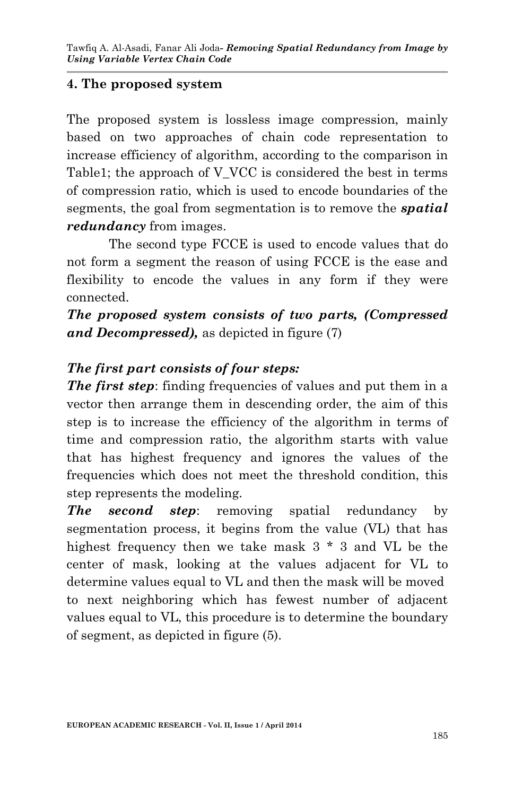### **4. The proposed system**

The proposed system is lossless image compression, mainly based on two approaches of chain code representation to increase efficiency of algorithm, according to the comparison in Table1; the approach of V\_VCC is considered the best in terms of compression ratio, which is used to encode boundaries of the segments, the goal from segmentation is to remove the *spatial redundancy* from images.

The second type FCCE is used to encode values that do not form a segment the reason of using FCCE is the ease and flexibility to encode the values in any form if they were connected.

*The proposed system consists of two parts, (Compressed and Decompressed),* as depicted in figure (7)

### *The first part consists of four steps:*

*The first step:* finding frequencies of values and put them in a vector then arrange them in descending order, the aim of this step is to increase the efficiency of the algorithm in terms of time and compression ratio, the algorithm starts with value that has highest frequency and ignores the values of the frequencies which does not meet the threshold condition, this step represents the modeling.

*The second step*: removing spatial redundancy by segmentation process, it begins from the value (VL) that has highest frequency then we take mask 3 \* 3 and VL be the center of mask, looking at the values adjacent for VL to determine values equal to VL and then the mask will be moved to next neighboring which has fewest number of adjacent values equal to VL, this procedure is to determine the boundary of segment, as depicted in figure (5).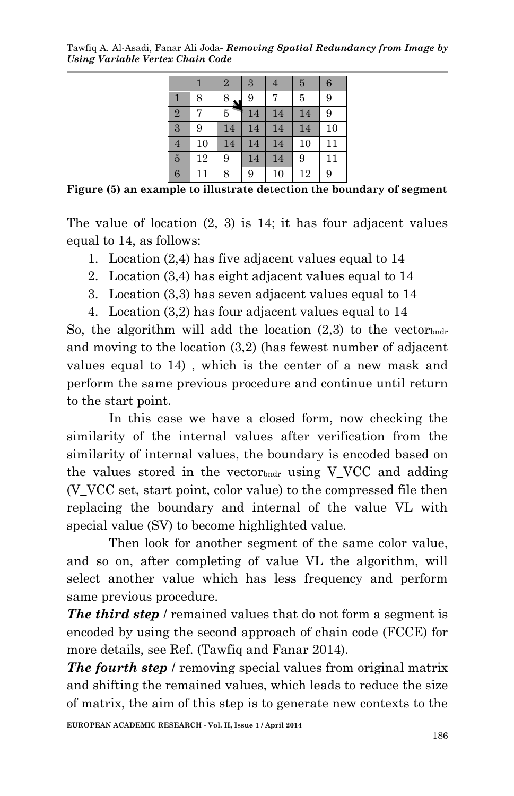Tawfiq A. Al-Asadi, Fanar Ali Joda*- Removing Spatial Redundancy from Image by Using Variable Vertex Chain Code*

|                |    | $\overline{2}$ | 3  | 4  | 5  | 6  |
|----------------|----|----------------|----|----|----|----|
| 1              | 8  | 8              | 9  |    | 5  | 9  |
| $\overline{2}$ |    | 5              | 14 | 14 | 14 | 9  |
| 3              | 9  | 14             | 14 | 14 | 14 | 10 |
| $\overline{4}$ | 10 | 14             | 14 | 14 | 10 | 11 |
| $\overline{5}$ | 12 | 9              | 14 | 14 | 9  | 11 |
| $\overline{6}$ | 11 | 8              | 9  | 10 | 12 | 9  |

**Figure (5) an example to illustrate detection the boundary of segment**

The value of location (2, 3) is 14; it has four adjacent values equal to 14, as follows:

1. Location (2,4) has five adjacent values equal to 14

- 2. Location (3,4) has eight adjacent values equal to 14
- 3. Location (3,3) has seven adjacent values equal to 14
- 4. Location (3,2) has four adjacent values equal to 14

So, the algorithm will add the location  $(2,3)$  to the vector and moving to the location (3,2) (has fewest number of adjacent values equal to 14) , which is the center of a new mask and perform the same previous procedure and continue until return to the start point.

In this case we have a closed form, now checking the similarity of the internal values after verification from the similarity of internal values, the boundary is encoded based on the values stored in the vector b using V VCC and adding (V\_VCC set, start point, color value) to the compressed file then replacing the boundary and internal of the value VL with special value (SV) to become highlighted value.

Then look for another segment of the same color value, and so on, after completing of value VL the algorithm, will select another value which has less frequency and perform same previous procedure.

*The third step* / remained values that do not form a segment is encoded by using the second approach of chain code (FCCE) for more details, see Ref. (Tawfiq and Fanar 2014).

*The fourth step* / removing special values from original matrix and shifting the remained values, which leads to reduce the size of matrix, the aim of this step is to generate new contexts to the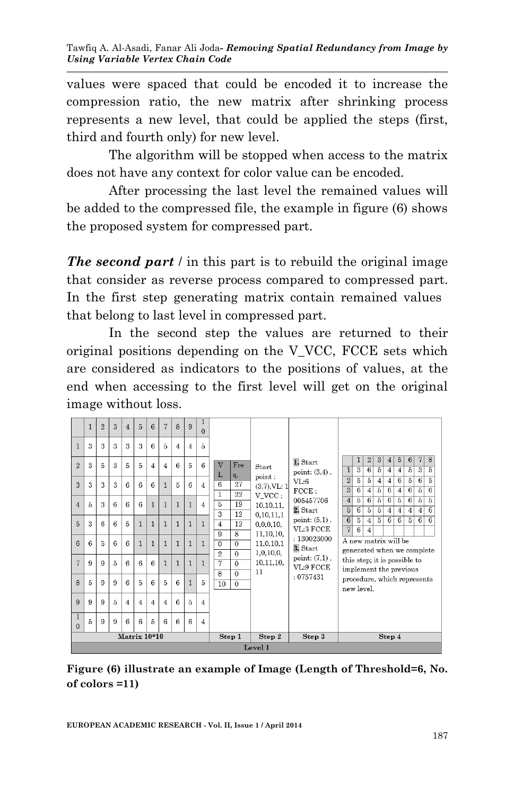values were spaced that could be encoded it to increase the compression ratio, the new matrix after shrinking process represents a new level, that could be applied the steps (first, third and fourth only) for new level.

The algorithm will be stopped when access to the matrix does not have any context for color value can be encoded.

After processing the last level the remained values will be added to the compressed file, the example in figure (6) shows the proposed system for compressed part.

*The second part* / in this part is to rebuild the original image that consider as reverse process compared to compressed part. In the first step generating matrix contain remained values that belong to last level in compressed part.

In the second step the values are returned to their original positions depending on the V\_VCC, FCCE sets which are considered as indicators to the positions of values, at the end when accessing to the first level will get on the original image without loss.

|                          | 1 | $\overline{2}$   | $\mathcal{S}$ | $\overline{4}$ | $\overline{5}$ | 6              | $\overline{7}$ | $\mathbf{8}$   | 9              | $\mathbf{1}$<br>$\Omega$ |                                                    |                           |                               |                                           |                                                        |                     |                                  |                                    |                     |                                   |                              |                                   |
|--------------------------|---|------------------|---------------|----------------|----------------|----------------|----------------|----------------|----------------|--------------------------|----------------------------------------------------|---------------------------|-------------------------------|-------------------------------------------|--------------------------------------------------------|---------------------|----------------------------------|------------------------------------|---------------------|-----------------------------------|------------------------------|-----------------------------------|
| $\mathbf{1}$             | 3 | $\mathbf{3}$     | 3             | 3              | 3              | 6              | $\overline{5}$ | $\overline{4}$ | $\overline{4}$ | $\overline{5}$           |                                                    |                           |                               |                                           |                                                        |                     |                                  |                                    |                     |                                   |                              |                                   |
| $\overline{2}$           | 3 | 5                | 3             | 5              | 5              | $\overline{4}$ | $\overline{4}$ | 6              | $\overline{5}$ | 6                        | V<br>Fre<br>L<br>q.                                | Start.                    | 1. Start<br>point: $(3,4)$ ,  | $\mathbf{1}$                              | 1<br>3                                                 | 2 <br>6             | 3 <sup>1</sup><br>$\overline{5}$ | 4 <sup>1</sup><br>4                | $\overline{5}$<br>4 | 6<br>5                            | 7<br>$\overline{\mathbf{3}}$ | 8<br>5                            |
| $\mathbf{a}$             | 3 | $\boldsymbol{3}$ | 3             | 6              | 6              | 6              | $\mathbf{1}$   | 5              | 6              | $\overline{4}$           | 6<br>27                                            | point:<br>$(3,7)$ , VL: 1 | VL:6<br>FCCE:                 | $\overline{2}$<br>$\overline{\mathbf{3}}$ | 5<br>6                                                 | 5<br>$\overline{4}$ | $\overline{4}$<br>$\overline{5}$ | $\overline{4}$<br>$6 \overline{6}$ | 6<br>$\overline{4}$ | $\overline{5}$<br>$6\overline{6}$ | 6<br>$\overline{5}$          | $\overline{5}$<br>$6\overline{6}$ |
|                          |   | 3                | 6             | 6              | 6              |                |                |                |                |                          | 1<br>22<br>$\overline{5}$                          | V VCC:                    | 005457706                     | $\overline{4}$                            | 5                                                      | $6\vert$            | $\overline{5}$                   | $6\overline{6}$                    | $\overline{5}$      | $6\overline{6}$                   | $\overline{5}$               | 5                                 |
| $\overline{4}$           | 5 |                  |               |                |                | $\overline{1}$ | $\mathbf{1}$   | $\mathbf{1}$   | $\mathbf{1}$   | $\overline{4}$           | 19<br>3<br>12                                      | 10.10.11.<br>0,10,11,1    | 2. Start                      | $\overline{5}$                            | 6                                                      | 5                   | $\overline{5}$                   | $\overline{4}$                     | 4                   | $\overline{4}$                    | 4                            | $6\overline{6}$                   |
| 5                        | 3 | 6                | 6             | 5              | $\mathbf{1}$   | $\mathbf{1}$   | $\mathbf{1}$   | $\mathbf{1}$   | $\mathbf{1}$   | $\mathbf{1}$             | $\overline{4}$<br>12                               | 0.0.0.10.                 | point: $(5,1)$ ,              | 6                                         | 5                                                      | 4                   | $\overline{5}$                   | 6                                  | 6                   | 5                                 | 6                            | 6                                 |
|                          |   |                  |               |                |                |                |                |                |                |                          | 9<br>8                                             | 11, 10, 10,               | VL:3 FCCE<br>: 130023000      | $\overline{7}$                            | 6                                                      | 4                   |                                  |                                    |                     |                                   |                              |                                   |
| 6                        | 6 | 5                | 6             | 6              | $\mathbf{1}$   | $\mathbf{1}$   | $\mathbf{1}$   | $\mathbf{1}$   | $\mathbf{1}$   | $\mathbf{1}$             | $\Omega$<br>$\Omega$<br>$\overline{2}$<br>$\Omega$ | 11,0,10,1<br>1,0,10,0,    | 3. Start                      |                                           | A new matrix will be<br>generated when we complete     |                     |                                  |                                    |                     |                                   |                              |                                   |
| $\overline{7}$           | 9 | 9                | 5             | 6              | 6              | 6              | $\mathbf{1}$   | $\mathbf{1}$   | $\mathbf{1}$   | $\mathbf{1}$             | 7<br>$\Omega$<br>8<br>$\Omega$                     | 10.11.10.<br>11           | point: $(7,1)$ ,<br>VL:9 FCCE |                                           | this step; it is possible to<br>implement the previous |                     |                                  |                                    |                     |                                   |                              |                                   |
| $\mathbf{8}$             | 5 | 9                | 9             | 6              | 5              | 6              | $\overline{5}$ | 6              | $\mathbf{1}$   | 5                        | 10<br>$\Omega$                                     |                           | :0757431                      |                                           | procedure, which represents<br>new level.              |                     |                                  |                                    |                     |                                   |                              |                                   |
| 9                        | 9 | 9                | 5             | 4              | 4              | $\overline{4}$ | $\overline{4}$ | 6              | $\overline{5}$ | $\overline{4}$           |                                                    |                           |                               |                                           |                                                        |                     |                                  |                                    |                     |                                   |                              |                                   |
| $\mathbf{1}$<br>$\Omega$ | 5 | 9                | 9             | 6              | 6              | 5              | 6              | 6              | 6              | $\overline{4}$           |                                                    |                           |                               |                                           |                                                        |                     |                                  |                                    |                     |                                   |                              |                                   |
|                          |   |                  |               | Matrix 10*10   |                |                |                |                |                |                          | Step 1                                             | Step 2                    | Step 3                        |                                           |                                                        |                     |                                  | Step 4                             |                     |                                   |                              |                                   |
| Level 1                  |   |                  |               |                |                |                |                |                |                |                          |                                                    |                           |                               |                                           |                                                        |                     |                                  |                                    |                     |                                   |                              |                                   |

**Figure (6) illustrate an example of Image (Length of Threshold=6, No. of colors =11)**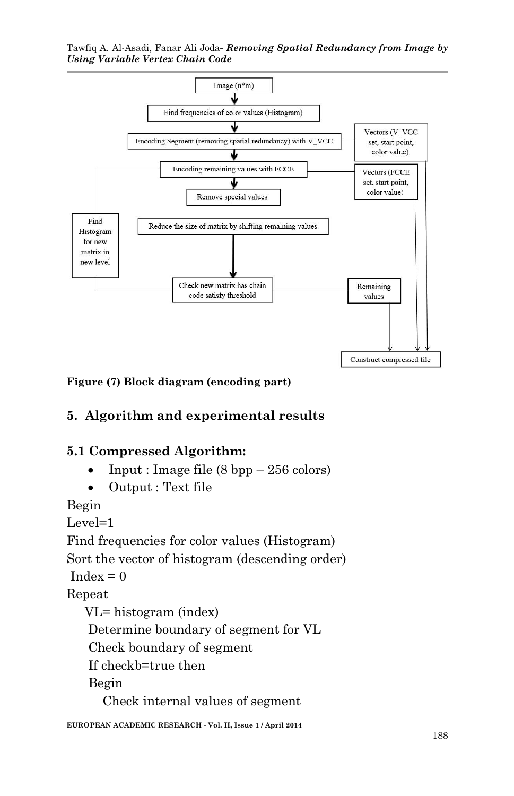Tawfiq A. Al-Asadi, Fanar Ali Joda*- Removing Spatial Redundancy from Image by Using Variable Vertex Chain Code*



**Figure (7) Block diagram (encoding part)**

## **5. Algorithm and experimental results**

#### **5.1 Compressed Algorithm:**

- Input : Image file (8 bpp 256 colors)
- Output : Text file

Begin

Level=1

Find frequencies for color values (Histogram)

Sort the vector of histogram (descending order)

 $Index = 0$ 

Repeat

 VL= histogram (index) Determine boundary of segment for VL Check boundary of segment If checkb=true then Begin Check internal values of segment

**EUROPEAN ACADEMIC RESEARCH - Vol. II, Issue 1 / April 2014**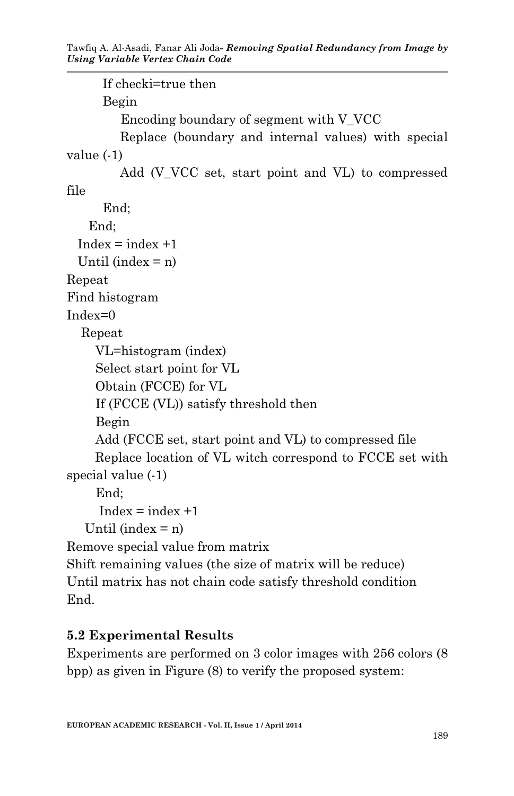```
 If checki=true then
       Begin
         Encoding boundary of segment with V_VCC
         Replace (boundary and internal values) with special 
value (-1)
        Add (V VCC set, start point and VL) to compressed
file
       End;
    End;
 Index = index +1Until (index = n)
Repeat
Find histogram
Index=0 Repeat
     VL=histogram (index)
     Select start point for VL
     Obtain (FCCE) for VL
     If (FCCE (VL)) satisfy threshold then
     Begin
     Add (FCCE set, start point and VL) to compressed file
     Replace location of VL witch correspond to FCCE set with 
special value (-1)
     End;
     Index = index +1Until (index = n)
Remove special value from matrix
Shift remaining values (the size of matrix will be reduce)
Until matrix has not chain code satisfy threshold condition
```
End.

# **5.2 Experimental Results**

Experiments are performed on 3 color images with 256 colors (8 bpp) as given in Figure (8) to verify the proposed system: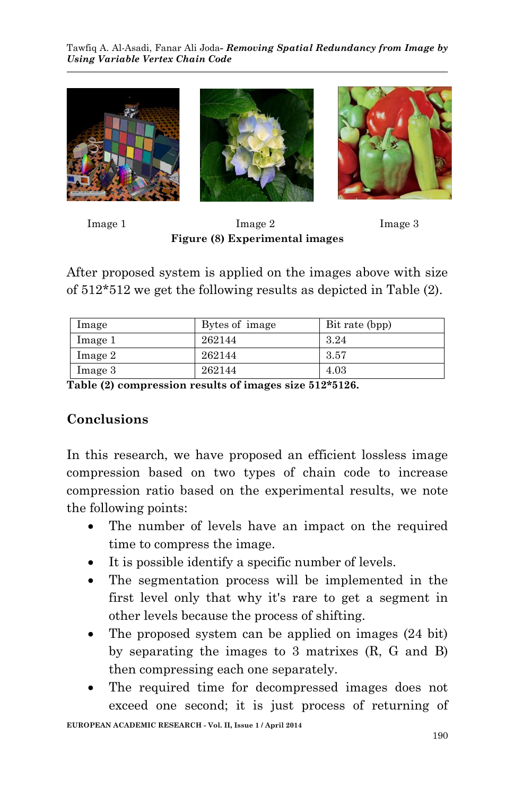

Image 1 Image 2 Image 3 **Figure (8) Experimental images**

After proposed system is applied on the images above with size of 512\*512 we get the following results as depicted in Table (2).

| lmage   | Bytes of image | Bit rate (bpp) |
|---------|----------------|----------------|
| Image 1 | 262144         | 3.24           |
| Image 2 | 262144         | -3.57          |
| Image 3 | 262144         | 4.03           |

**Table (2) compression results of images size 512\*5126.** 

## **Conclusions**

In this research, we have proposed an efficient lossless image compression based on two types of chain code to increase compression ratio based on the experimental results, we note the following points:

- The number of levels have an impact on the required time to compress the image.
- It is possible identify a specific number of levels.
- The segmentation process will be implemented in the first level only that why it's rare to get a segment in other levels because the process of shifting.
- The proposed system can be applied on images (24 bit) by separating the images to 3 matrixes (R, G and B) then compressing each one separately.
- The required time for decompressed images does not exceed one second; it is just process of returning of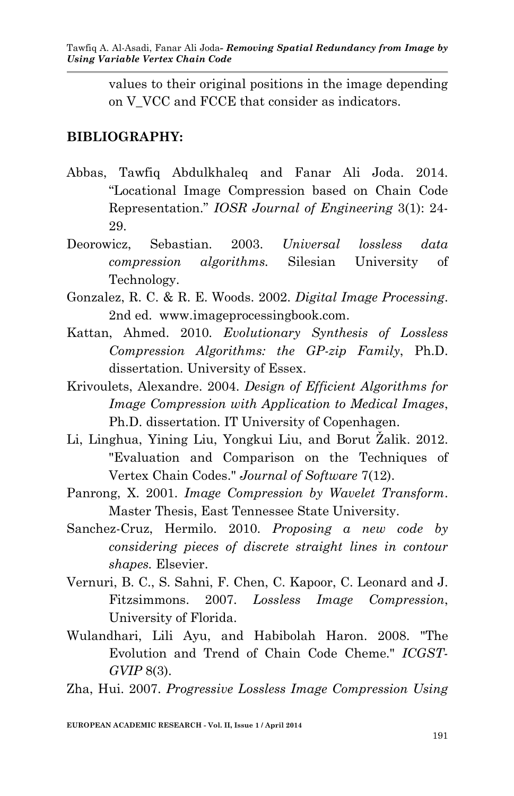values to their original positions in the image depending on V\_VCC and FCCE that consider as indicators.

#### **BIBLIOGRAPHY:**

- Abbas, Tawfiq Abdulkhaleq and Fanar Ali Joda. 2014. "Locational Image Compression based on Chain Code Representation." *IOSR Journal of Engineering* 3(1): 24- 29.
- Deorowicz, Sebastian. 2003. *Universal lossless data compression algorithms.* Silesian University of Technology.
- Gonzalez, R. C. & R. E. Woods. 2002. *Digital Image Processing*. 2nd ed. www.imageprocessingbook.com.
- Kattan, Ahmed. 2010. *Evolutionary Synthesis of Lossless Compression Algorithms: the GP-zip Family*, Ph.D. dissertation. University of Essex.
- Krivoulets, Alexandre. 2004. *Design of Efficient Algorithms for Image Compression with Application to Medical Images*, Ph.D. dissertation. IT University of Copenhagen.
- Li, Linghua, Yining Liu, Yongkui Liu, and Borut Žalik. 2012. "Evaluation and Comparison on the Techniques of Vertex Chain Codes." *Journal of Software* 7(12).
- Panrong, X. 2001. *Image Compression by Wavelet Transform*. Master Thesis, East Tennessee State University.
- Sanchez-Cruz, Hermilo. 2010. *Proposing a new code by considering pieces of discrete straight lines in contour shapes.* Elsevier.
- Vernuri, B. C., S. Sahni, F. Chen, C. Kapoor, C. Leonard and J. Fitzsimmons. 2007. *Lossless Image Compression*, University of Florida.
- Wulandhari, Lili Ayu, and Habibolah Haron. 2008. "The Evolution and Trend of Chain Code Cheme." *ICGST-GVIP* 8(3).

Zha, Hui. 2007. *Progressive Lossless Image Compression Using*